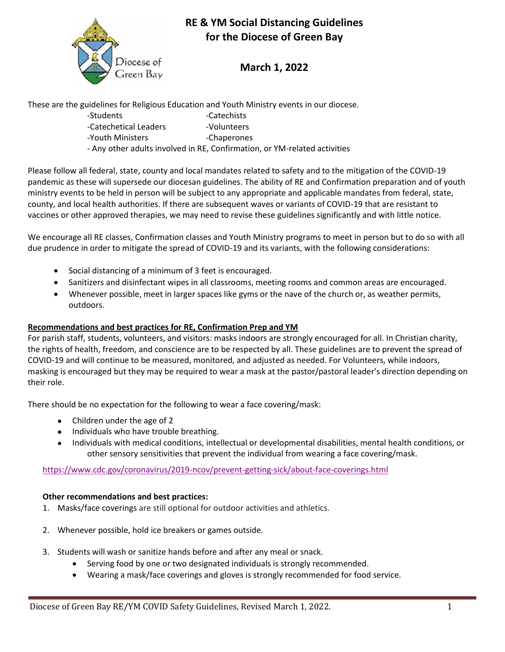

# **RE & YM Social Distancing Guidelines for the Diocese of Green Bay**

## **March 1, 2022**

These are the guidelines for Religious Education and Youth Ministry events in our diocese.

- -Students -Catechists -Catechetical Leaders -Volunteers
- -Youth Ministers **Fig. 2018** -Chaperones
- Any other adults involved in RE, Confirmation, or YM-related activities

Please follow all federal, state, county and local mandates related to safety and to the mitigation of the COVID-19 pandemic as these will supersede our diocesan guidelines. The ability of RE and Confirmation preparation and of youth ministry events to be held in person will be subject to any appropriate and applicable mandates from federal, state, county, and local health authorities. If there are subsequent waves or variants of COVID-19 that are resistant to vaccines or other approved therapies, we may need to revise these guidelines significantly and with little notice.

We encourage all RE classes, Confirmation classes and Youth Ministry programs to meet in person but to do so with all due prudence in order to mitigate the spread of COVID-19 and its variants, with the following considerations:

- Social distancing of a minimum of 3 feet is encouraged.
- Sanitizers and disinfectant wipes in all classrooms, meeting rooms and common areas are encouraged.
- Whenever possible, meet in larger spaces like gyms or the nave of the church or, as weather permits, outdoors.

### **Recommendations and best practices for RE, Confirmation Prep and YM**

For parish staff, students, volunteers, and visitors: masks indoors are strongly encouraged for all. In Christian charity, the rights of health, freedom, and conscience are to be respected by all. These guidelines are to prevent the spread of COVID-19 and will continue to be measured, monitored, and adjusted as needed. For Volunteers, while indoors, masking is encouraged but they may be required to wear a mask at the pastor/pastoral leader's direction depending on their role.

There should be no expectation for the following to wear a face covering/mask:

- Children under the age of 2
- Individuals who have trouble breathing.
- Individuals with medical conditions, intellectual or developmental disabilities, mental health conditions, or other sensory sensitivities that prevent the individual from wearing a face covering/mask.

<https://www.cdc.gov/coronavirus/2019-ncov/prevent-getting-sick/about-face-coverings.html>

### **Other recommendations and best practices:**

- 1. Masks/face coverings are still optional for outdoor activities and athletics.
- 2. Whenever possible, hold ice breakers or games outside.
- 3. Students will wash or sanitize hands before and after any meal or snack.
	- Serving food by one or two designated individuals is strongly recommended.
	- Wearing a mask/face coverings and gloves is strongly recommended for food service.